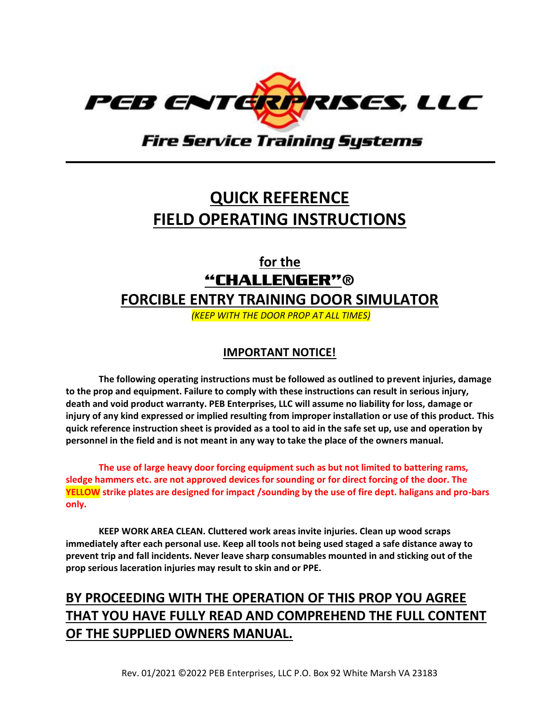

**Fire Service Training Systems** 

# **QUICK REFERENCE FIELD OPERATING INSTRUCTIONS**

**for the** "CHALLENGER"®

**FORCIBLE ENTRY TRAINING DOOR SIMULATOR** 

*(KEEP WITH THE DOOR PROP AT ALL TIMES)*

#### **IMPORTANT NOTICE!**

**The following operating instructions must be followed as outlined to prevent injuries, damage to the prop and equipment. Failure to comply with these instructions can result in serious injury, death and void product warranty. PEB Enterprises, LLC will assume no liability for loss, damage or injury of any kind expressed or implied resulting from improper installation or use of this product. This quick reference instruction sheet is provided as a tool to aid in the safe set up, use and operation by personnel in the field and is not meant in any way to take the place of the owners manual.**

**The use of large heavy door forcing equipment such as but not limited to battering rams, sledge hammers etc. are not approved devices for sounding or for direct forcing of the door. The YELLOW strike plates are designed for impact /sounding by the use of fire dept. haligans and pro-bars only.**

**KEEP WORK AREA CLEAN. Cluttered work areas invite injuries. Clean up wood scraps immediately after each personal use. Keep all tools not being used staged a safe distance away to prevent trip and fall incidents. Never leave sharp consumables mounted in and sticking out of the prop serious laceration injuries may result to skin and or PPE.**

#### **BY PROCEEDING WITH THE OPERATION OF THIS PROP YOU AGREE THAT YOU HAVE FULLY READ AND COMPREHEND THE FULL CONTENT OF THE SUPPLIED OWNERS MANUAL.**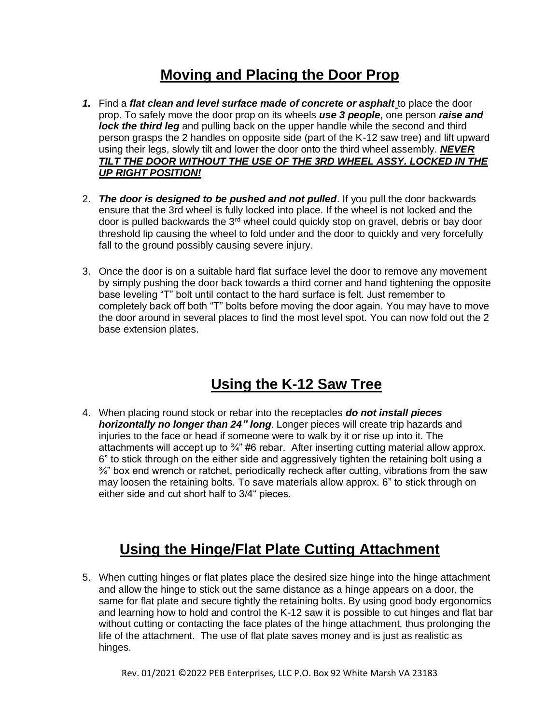#### **Moving and Placing the Door Prop**

- *1.* Find a *flat clean and level surface made of concrete or asphalt* to place the door prop. To safely move the door prop on its wheels *use 3 people*, one person *raise and lock the third leg* and pulling back on the upper handle while the second and third person grasps the 2 handles on opposite side (part of the K-12 saw tree) and lift upward using their legs, slowly tilt and lower the door onto the third wheel assembly. *NEVER TILT THE DOOR WITHOUT THE USE OF THE 3RD WHEEL ASSY. LOCKED IN THE UP RIGHT POSITION!*
- 2. *The door is designed to be pushed and not pulled*. If you pull the door backwards ensure that the 3rd wheel is fully locked into place. If the wheel is not locked and the door is pulled backwards the 3<sup>rd</sup> wheel could quickly stop on gravel, debris or bay door threshold lip causing the wheel to fold under and the door to quickly and very forcefully fall to the ground possibly causing severe injury.
- 3. Once the door is on a suitable hard flat surface level the door to remove any movement by simply pushing the door back towards a third corner and hand tightening the opposite base leveling "T" bolt until contact to the hard surface is felt. Just remember to completely back off both "T" bolts before moving the door again. You may have to move the door around in several places to find the most level spot. You can now fold out the 2 base extension plates.

# **Using the K-12 Saw Tree**

4. When placing round stock or rebar into the receptacles *do not install pieces horizontally no longer than 24" long*. Longer pieces will create trip hazards and injuries to the face or head if someone were to walk by it or rise up into it. The attachments will accept up to  $\frac{3}{4}$ " #6 rebar. After inserting cutting material allow approx. 6" to stick through on the either side and aggressively tighten the retaining bolt using a  $\frac{3}{4}$ " box end wrench or ratchet, periodically recheck after cutting, vibrations from the saw may loosen the retaining bolts. To save materials allow approx. 6" to stick through on either side and cut short half to 3/4" pieces.

# **Using the Hinge/Flat Plate Cutting Attachment**

5. When cutting hinges or flat plates place the desired size hinge into the hinge attachment and allow the hinge to stick out the same distance as a hinge appears on a door, the same for flat plate and secure tightly the retaining bolts. By using good body ergonomics and learning how to hold and control the K-12 saw it is possible to cut hinges and flat bar without cutting or contacting the face plates of the hinge attachment, thus prolonging the life of the attachment. The use of flat plate saves money and is just as realistic as hinges.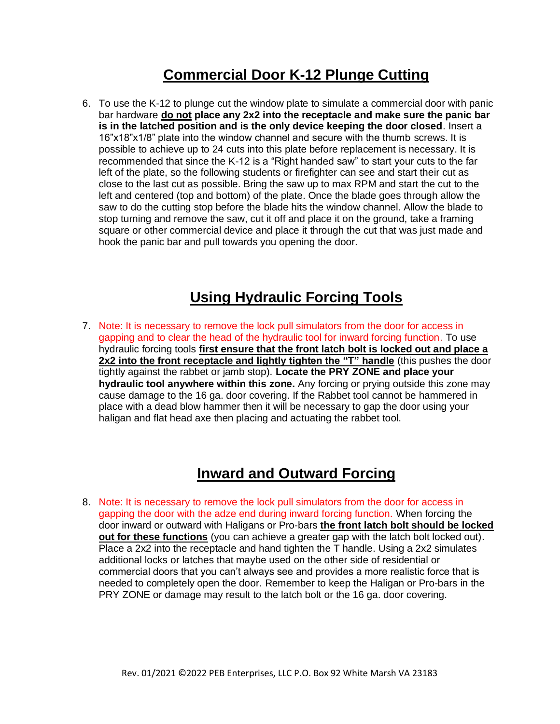#### **Commercial Door K-12 Plunge Cutting**

6. To use the K-12 to plunge cut the window plate to simulate a commercial door with panic bar hardware **do not place any 2x2 into the receptacle and make sure the panic bar is in the latched position and is the only device keeping the door closed**. Insert a 16"x18"x1/8" plate into the window channel and secure with the thumb screws. It is possible to achieve up to 24 cuts into this plate before replacement is necessary. It is recommended that since the K-12 is a "Right handed saw" to start your cuts to the far left of the plate, so the following students or firefighter can see and start their cut as close to the last cut as possible. Bring the saw up to max RPM and start the cut to the left and centered (top and bottom) of the plate. Once the blade goes through allow the saw to do the cutting stop before the blade hits the window channel. Allow the blade to stop turning and remove the saw, cut it off and place it on the ground, take a framing square or other commercial device and place it through the cut that was just made and hook the panic bar and pull towards you opening the door.

#### **Using Hydraulic Forcing Tools**

7. Note: It is necessary to remove the lock pull simulators from the door for access in gapping and to clear the head of the hydraulic tool for inward forcing function. To use hydraulic forcing tools **first ensure that the front latch bolt is locked out and place a 2x2 into the front receptacle and lightly tighten the "T" handle** (this pushes the door tightly against the rabbet or jamb stop). **Locate the PRY ZONE and place your hydraulic tool anywhere within this zone.** Any forcing or prying outside this zone may cause damage to the 16 ga. door covering. If the Rabbet tool cannot be hammered in place with a dead blow hammer then it will be necessary to gap the door using your haligan and flat head axe then placing and actuating the rabbet tool.

#### **Inward and Outward Forcing**

8. Note: It is necessary to remove the lock pull simulators from the door for access in gapping the door with the adze end during inward forcing function. When forcing the door inward or outward with Haligans or Pro-bars **the front latch bolt should be locked out for these functions** (you can achieve a greater gap with the latch bolt locked out). Place a 2x2 into the receptacle and hand tighten the T handle. Using a 2x2 simulates additional locks or latches that maybe used on the other side of residential or commercial doors that you can't always see and provides a more realistic force that is needed to completely open the door. Remember to keep the Haligan or Pro-bars in the PRY ZONE or damage may result to the latch bolt or the 16 ga. door covering.